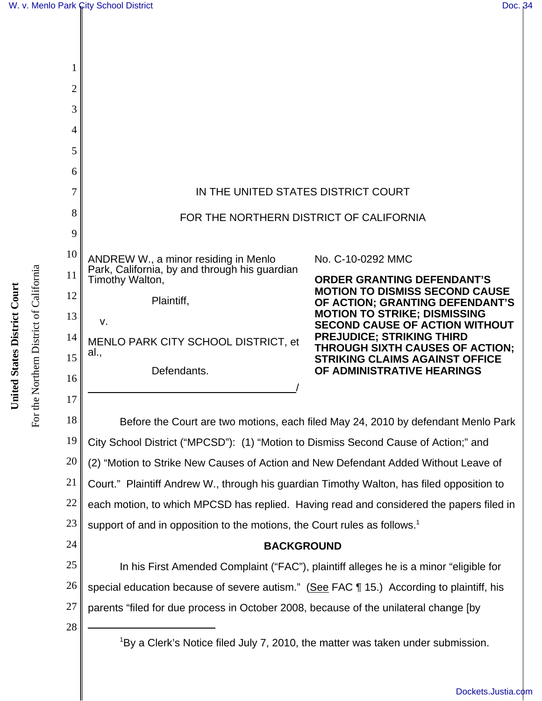| 2  |                                                                                             |                                                                              |  |
|----|---------------------------------------------------------------------------------------------|------------------------------------------------------------------------------|--|
| 3  |                                                                                             |                                                                              |  |
| 4  |                                                                                             |                                                                              |  |
| 5  |                                                                                             |                                                                              |  |
| 6  |                                                                                             |                                                                              |  |
| 7  | IN THE UNITED STATES DISTRICT COURT                                                         |                                                                              |  |
| 8  | FOR THE NORTHERN DISTRICT OF CALIFORNIA                                                     |                                                                              |  |
| 9  |                                                                                             |                                                                              |  |
| 10 | ANDREW W., a minor residing in Menlo                                                        | No. C-10-0292 MMC                                                            |  |
| 11 | Park, California, by and through his guardian<br>Timothy Walton,                            | <b>ORDER GRANTING DEFENDANT'S</b>                                            |  |
| 12 | Plaintiff,                                                                                  | <b>MOTION TO DISMISS SECOND CAUSE</b><br>OF ACTION; GRANTING DEFENDANT'S     |  |
| 13 | v.                                                                                          | <b>MOTION TO STRIKE; DISMISSING</b><br><b>SECOND CAUSE OF ACTION WITHOUT</b> |  |
| 14 | MENLO PARK CITY SCHOOL DISTRICT, et                                                         | <b>PREJUDICE; STRIKING THIRD</b><br><b>THROUGH SIXTH CAUSES OF ACTION;</b>   |  |
| 15 | al.,                                                                                        | <b>STRIKING CLAIMS AGAINST OFFICE</b>                                        |  |
| 16 | Defendants.                                                                                 | OF ADMINISTRATIVE HEARINGS                                                   |  |
| 17 |                                                                                             |                                                                              |  |
| 18 | Before the Court are two motions, each filed May 24, 2010 by defendant Menlo Park           |                                                                              |  |
| 19 | City School District ("MPCSD"): (1) "Motion to Dismiss Second Cause of Action;" and         |                                                                              |  |
| 20 | (2) "Motion to Strike New Causes of Action and New Defendant Added Without Leave of         |                                                                              |  |
| 21 | Court." Plaintiff Andrew W., through his guardian Timothy Walton, has filed opposition to   |                                                                              |  |
| 22 | each motion, to which MPCSD has replied. Having read and considered the papers filed in     |                                                                              |  |
| 23 | support of and in opposition to the motions, the Court rules as follows. <sup>1</sup>       |                                                                              |  |
| 24 | <b>BACKGROUND</b>                                                                           |                                                                              |  |
| 25 | In his First Amended Complaint ("FAC"), plaintiff alleges he is a minor "eligible for       |                                                                              |  |
| 26 | special education because of severe autism." (See FAC ¶ 15.) According to plaintiff, his    |                                                                              |  |
| 27 | parents "filed for due process in October 2008, because of the unilateral change [by        |                                                                              |  |
| 28 |                                                                                             |                                                                              |  |
|    | <sup>1</sup> By a Clerk's Notice filed July 7, 2010, the matter was taken under submission. |                                                                              |  |

United States District Court **United States District Court**

For the Northern District of California

For the Northern District of California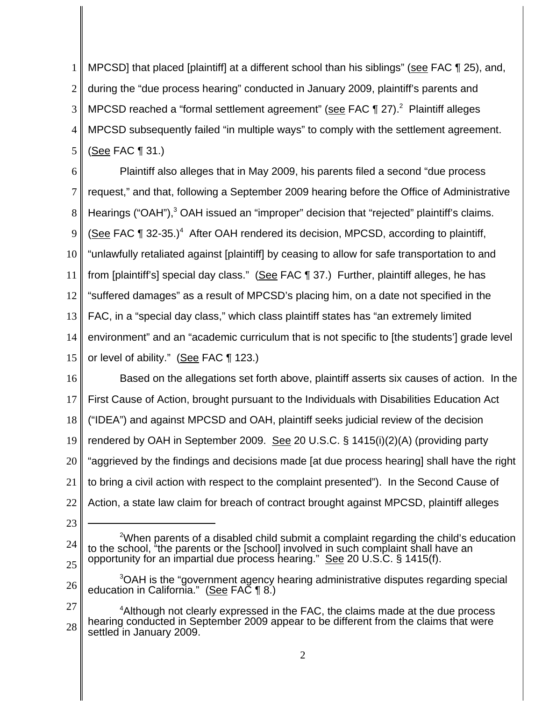1 2 3 4 5 MPCSD] that placed [plaintiff] at a different school than his siblings" (see FAC 125), and, during the "due process hearing" conducted in January 2009, plaintiff's parents and MPCSD reached a "formal settlement agreement" (see FAC ¶ 27).<sup>2</sup> Plaintiff alleges MPCSD subsequently failed "in multiple ways" to comply with the settlement agreement. (See FAC ¶ 31.)

6 7 8 9 10 11 12 13 14 15 Plaintiff also alleges that in May 2009, his parents filed a second "due process request," and that, following a September 2009 hearing before the Office of Administrative Hearings ("OAH"),<sup>3</sup> OAH issued an "improper" decision that "rejected" plaintiff's claims. (See FAC  $\P$  32-35.)<sup>4</sup> After OAH rendered its decision, MPCSD, according to plaintiff, "unlawfully retaliated against [plaintiff] by ceasing to allow for safe transportation to and from [plaintiff's] special day class." (See FAC ¶ 37.) Further, plaintiff alleges, he has "suffered damages" as a result of MPCSD's placing him, on a date not specified in the FAC, in a "special day class," which class plaintiff states has "an extremely limited environment" and an "academic curriculum that is not specific to [the students'] grade level or level of ability." (See FAC ¶ 123.)

16 17 18 19 20 21 22 Based on the allegations set forth above, plaintiff asserts six causes of action. In the First Cause of Action, brought pursuant to the Individuals with Disabilities Education Act ("IDEA") and against MPCSD and OAH, plaintiff seeks judicial review of the decision rendered by OAH in September 2009. See 20 U.S.C. § 1415(i)(2)(A) (providing party "aggrieved by the findings and decisions made [at due process hearing] shall have the right to bring a civil action with respect to the complaint presented"). In the Second Cause of Action, a state law claim for breach of contract brought against MPCSD, plaintiff alleges

23

<sup>25</sup>  $2$ When parents of a disabled child submit a complaint regarding the child's education to the school, "the parents or the [school] involved in such complaint shall have an opportunity for an impartial due process hearing." See 20 U.S.C. § 1415(f).

<sup>26</sup> <sup>3</sup>OAH is the "government agency hearing administrative disputes regarding special education in California." (See FAC ¶ 8.)

<sup>27</sup> 28 <sup>4</sup>Although not clearly expressed in the FAC, the claims made at the due process hearing conducted in September 2009 appear to be different from the claims that were settled in January 2009.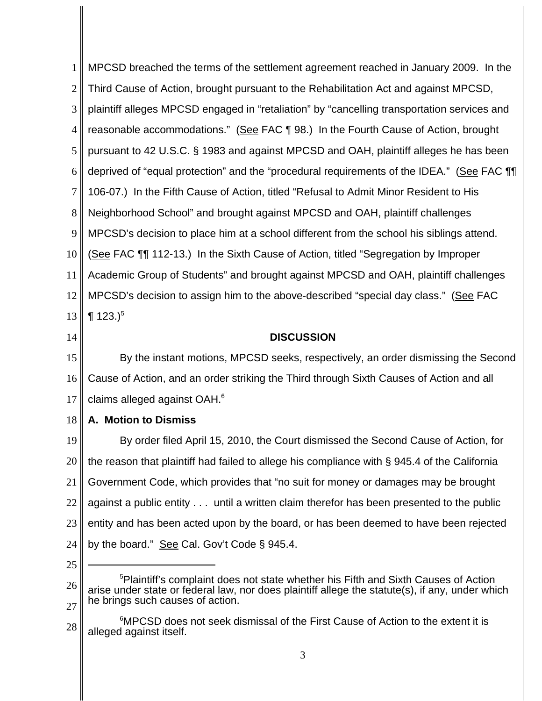1 2 3 4 5 6 7 8 9 10 11 12 13 14 MPCSD breached the terms of the settlement agreement reached in January 2009. In the Third Cause of Action, brought pursuant to the Rehabilitation Act and against MPCSD, plaintiff alleges MPCSD engaged in "retaliation" by "cancelling transportation services and reasonable accommodations." (See FAC ¶ 98.) In the Fourth Cause of Action, brought pursuant to 42 U.S.C. § 1983 and against MPCSD and OAH, plaintiff alleges he has been deprived of "equal protection" and the "procedural requirements of the IDEA." (See FAC ¶¶ 106-07.) In the Fifth Cause of Action, titled "Refusal to Admit Minor Resident to His Neighborhood School" and brought against MPCSD and OAH, plaintiff challenges MPCSD's decision to place him at a school different from the school his siblings attend. (See FAC ¶¶ 112-13.) In the Sixth Cause of Action, titled "Segregation by Improper Academic Group of Students" and brought against MPCSD and OAH, plaintiff challenges MPCSD's decision to assign him to the above-described "special day class." (See FAC **123.**)<sup>5</sup> **DISCUSSION**

15 16 17 By the instant motions, MPCSD seeks, respectively, an order dismissing the Second Cause of Action, and an order striking the Third through Sixth Causes of Action and all claims alleged against OAH.6

18 **A. Motion to Dismiss**

19 20 21 22 23 24 By order filed April 15, 2010, the Court dismissed the Second Cause of Action, for the reason that plaintiff had failed to allege his compliance with § 945.4 of the California Government Code, which provides that "no suit for money or damages may be brought against a public entity . . . until a written claim therefor has been presented to the public entity and has been acted upon by the board, or has been deemed to have been rejected by the board." See Cal. Gov't Code § 945.4.

<sup>26</sup> 27 <sup>5</sup>Plaintiff's complaint does not state whether his Fifth and Sixth Causes of Action arise under state or federal law, nor does plaintiff allege the statute(s), if any, under which he brings such causes of action.

<sup>28</sup> <sup>6</sup>MPCSD does not seek dismissal of the First Cause of Action to the extent it is alleged against itself.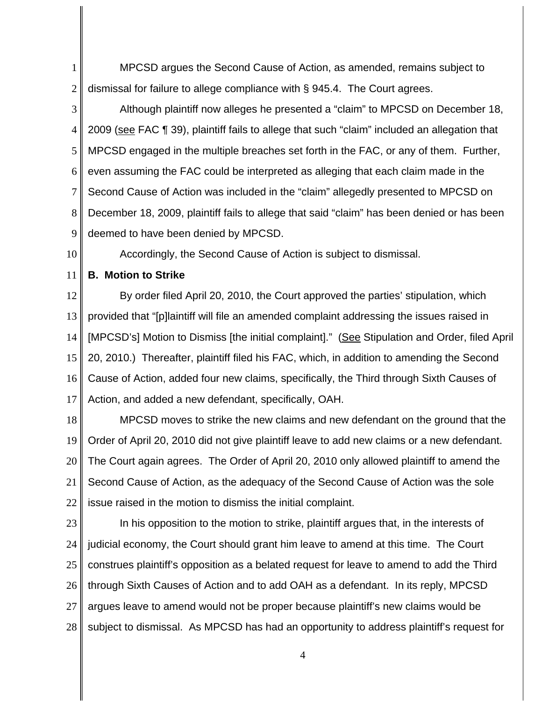1 2 MPCSD argues the Second Cause of Action, as amended, remains subject to dismissal for failure to allege compliance with § 945.4. The Court agrees.

3 4 5 6 7 8 9 Although plaintiff now alleges he presented a "claim" to MPCSD on December 18, 2009 (see FAC ¶ 39), plaintiff fails to allege that such "claim" included an allegation that MPCSD engaged in the multiple breaches set forth in the FAC, or any of them. Further, even assuming the FAC could be interpreted as alleging that each claim made in the Second Cause of Action was included in the "claim" allegedly presented to MPCSD on December 18, 2009, plaintiff fails to allege that said "claim" has been denied or has been deemed to have been denied by MPCSD.

10

Accordingly, the Second Cause of Action is subject to dismissal.

11

**B. Motion to Strike**

12 13 14 15 16 17 By order filed April 20, 2010, the Court approved the parties' stipulation, which provided that "[p]laintiff will file an amended complaint addressing the issues raised in [MPCSD's] Motion to Dismiss [the initial complaint]." (See Stipulation and Order, filed April 20, 2010.) Thereafter, plaintiff filed his FAC, which, in addition to amending the Second Cause of Action, added four new claims, specifically, the Third through Sixth Causes of Action, and added a new defendant, specifically, OAH.

18 19 20 21 22 MPCSD moves to strike the new claims and new defendant on the ground that the Order of April 20, 2010 did not give plaintiff leave to add new claims or a new defendant. The Court again agrees. The Order of April 20, 2010 only allowed plaintiff to amend the Second Cause of Action, as the adequacy of the Second Cause of Action was the sole issue raised in the motion to dismiss the initial complaint.

23 24 25 26 27 28 In his opposition to the motion to strike, plaintiff argues that, in the interests of judicial economy, the Court should grant him leave to amend at this time. The Court construes plaintiff's opposition as a belated request for leave to amend to add the Third through Sixth Causes of Action and to add OAH as a defendant. In its reply, MPCSD argues leave to amend would not be proper because plaintiff's new claims would be subject to dismissal. As MPCSD has had an opportunity to address plaintiff's request for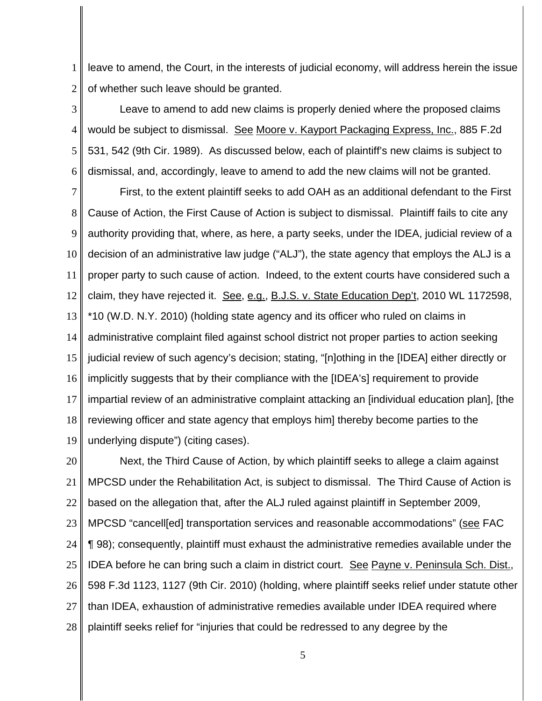1 2 leave to amend, the Court, in the interests of judicial economy, will address herein the issue of whether such leave should be granted.

3 4 5 6 Leave to amend to add new claims is properly denied where the proposed claims would be subject to dismissal. See Moore v. Kayport Packaging Express, Inc., 885 F.2d 531, 542 (9th Cir. 1989). As discussed below, each of plaintiff's new claims is subject to dismissal, and, accordingly, leave to amend to add the new claims will not be granted.

7 8 9 10 11 12 13 14 15 16 17 18 19 First, to the extent plaintiff seeks to add OAH as an additional defendant to the First Cause of Action, the First Cause of Action is subject to dismissal. Plaintiff fails to cite any authority providing that, where, as here, a party seeks, under the IDEA, judicial review of a decision of an administrative law judge ("ALJ"), the state agency that employs the ALJ is a proper party to such cause of action. Indeed, to the extent courts have considered such a claim, they have rejected it. See, e.g., B.J.S. v. State Education Dep't, 2010 WL 1172598, \*10 (W.D. N.Y. 2010) (holding state agency and its officer who ruled on claims in administrative complaint filed against school district not proper parties to action seeking judicial review of such agency's decision; stating, "[n]othing in the [IDEA] either directly or implicitly suggests that by their compliance with the [IDEA's] requirement to provide impartial review of an administrative complaint attacking an [individual education plan], [the reviewing officer and state agency that employs him] thereby become parties to the underlying dispute") (citing cases).

20 21 22 23 24 25 26 27 28 Next, the Third Cause of Action, by which plaintiff seeks to allege a claim against MPCSD under the Rehabilitation Act, is subject to dismissal. The Third Cause of Action is based on the allegation that, after the ALJ ruled against plaintiff in September 2009, MPCSD "cancell[ed] transportation services and reasonable accommodations" (see FAC ¶ 98); consequently, plaintiff must exhaust the administrative remedies available under the IDEA before he can bring such a claim in district court. See Payne v. Peninsula Sch. Dist., 598 F.3d 1123, 1127 (9th Cir. 2010) (holding, where plaintiff seeks relief under statute other than IDEA, exhaustion of administrative remedies available under IDEA required where plaintiff seeks relief for "injuries that could be redressed to any degree by the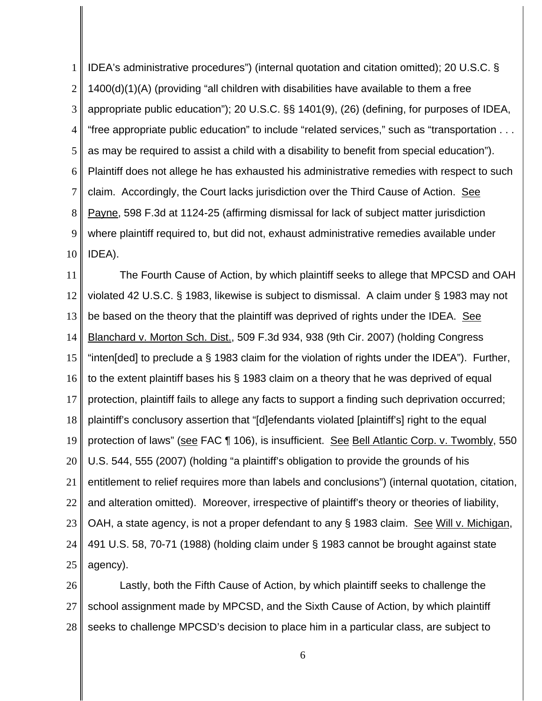1 2 3 4 5 6 7 8 9 10 IDEA's administrative procedures") (internal quotation and citation omitted); 20 U.S.C. § 1400(d)(1)(A) (providing "all children with disabilities have available to them a free appropriate public education"); 20 U.S.C. §§ 1401(9), (26) (defining, for purposes of IDEA, "free appropriate public education" to include "related services," such as "transportation . . . as may be required to assist a child with a disability to benefit from special education"). Plaintiff does not allege he has exhausted his administrative remedies with respect to such claim. Accordingly, the Court lacks jurisdiction over the Third Cause of Action. See Payne, 598 F.3d at 1124-25 (affirming dismissal for lack of subject matter jurisdiction where plaintiff required to, but did not, exhaust administrative remedies available under IDEA).

11 12 13 14 15 16 17 18 19 20 21 22 23 24 25 The Fourth Cause of Action, by which plaintiff seeks to allege that MPCSD and OAH violated 42 U.S.C. § 1983, likewise is subject to dismissal. A claim under § 1983 may not be based on the theory that the plaintiff was deprived of rights under the IDEA. See Blanchard v. Morton Sch. Dist., 509 F.3d 934, 938 (9th Cir. 2007) (holding Congress "inten[ded] to preclude a § 1983 claim for the violation of rights under the IDEA"). Further, to the extent plaintiff bases his § 1983 claim on a theory that he was deprived of equal protection, plaintiff fails to allege any facts to support a finding such deprivation occurred; plaintiff's conclusory assertion that "[d]efendants violated [plaintiff's] right to the equal protection of laws" (see FAC 1106), is insufficient. See Bell Atlantic Corp. v. Twombly, 550 U.S. 544, 555 (2007) (holding "a plaintiff's obligation to provide the grounds of his entitlement to relief requires more than labels and conclusions") (internal quotation, citation, and alteration omitted). Moreover, irrespective of plaintiff's theory or theories of liability, OAH, a state agency, is not a proper defendant to any § 1983 claim. See Will v. Michigan, 491 U.S. 58, 70-71 (1988) (holding claim under § 1983 cannot be brought against state agency).

26 27 28 Lastly, both the Fifth Cause of Action, by which plaintiff seeks to challenge the school assignment made by MPCSD, and the Sixth Cause of Action, by which plaintiff seeks to challenge MPCSD's decision to place him in a particular class, are subject to